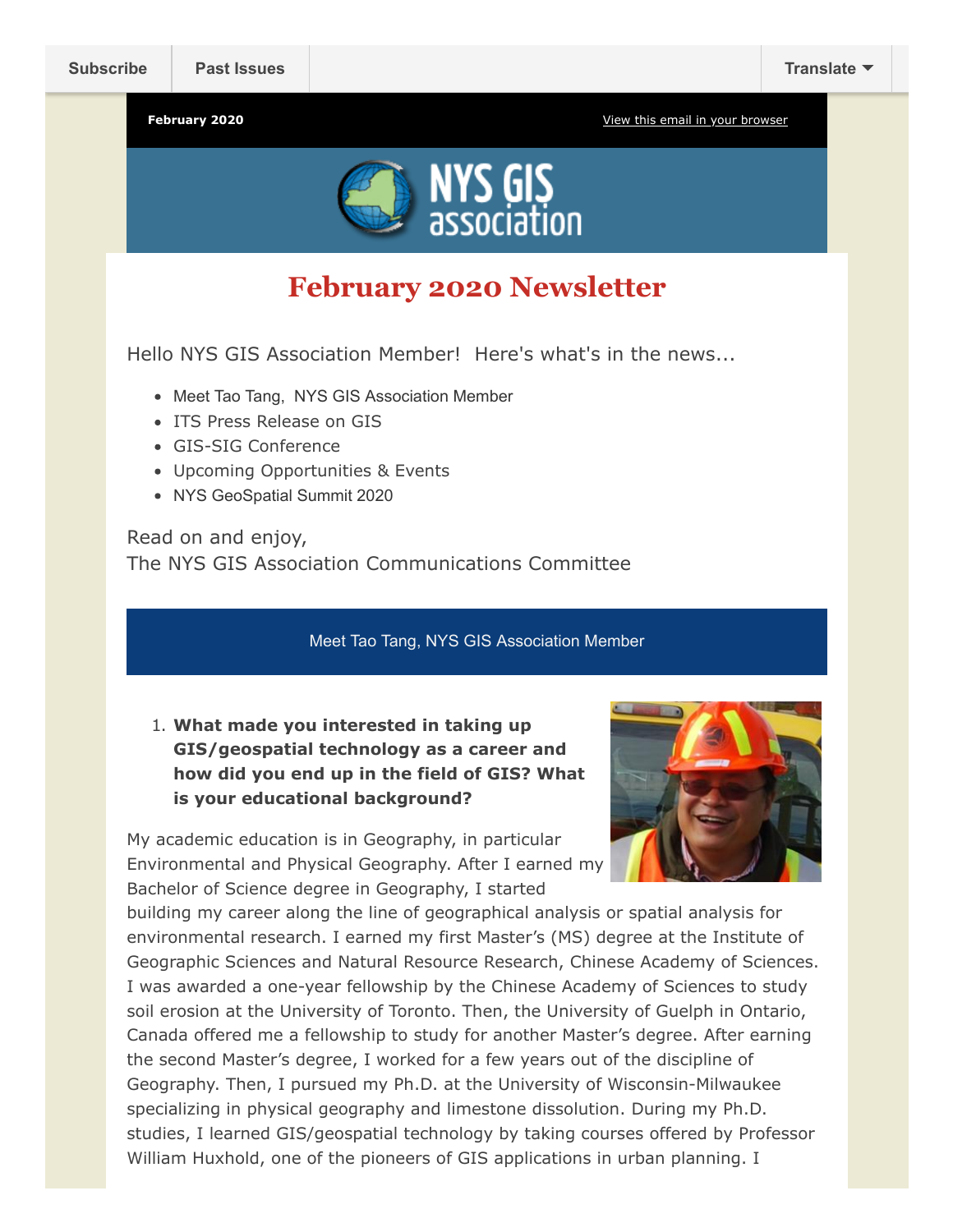

# **February 2020 Newsletter**

Hello NYS GIS Association Member! Here's what's in the news...

- Meet Tao Tang, NYS GIS Association Member
- ITS Press Release on GIS
- GIS-SIG Conference
- Upcoming Opportunities & Events
- NYS GeoSpatial Summit 2020

Read on and enjoy, The NYS GIS Association Communications Committee

Meet Tao Tang, NYS GIS Association Member

1. **What made you interested in taking up GIS/geospatial technology as a career and how did you end up in the field of GIS? What is your educational background?**

My academic education is in Geography, in particular Environmental and Physical Geography. After I earned my Bachelor of Science degree in Geography, I started



building my career along the line of geographical analysis or spatial analysis for environmental research. I earned my first Master's (MS) degree at the Institute of Geographic Sciences and Natural Resource Research, Chinese Academy of Sciences. I was awarded a one-year fellowship by the Chinese Academy of Sciences to study soil erosion at the University of Toronto. Then, the University of Guelph in Ontario, Canada offered me a fellowship to study for another Master's degree. After earning the second Master's degree, I worked for a few years out of the discipline of Geography. Then, I pursued my Ph.D. at the University of Wisconsin-Milwaukee specializing in physical geography and limestone dissolution. During my Ph.D. studies, I learned GIS/geospatial technology by taking courses offered by Professor William Huxhold, one of the pioneers of GIS applications in urban planning. I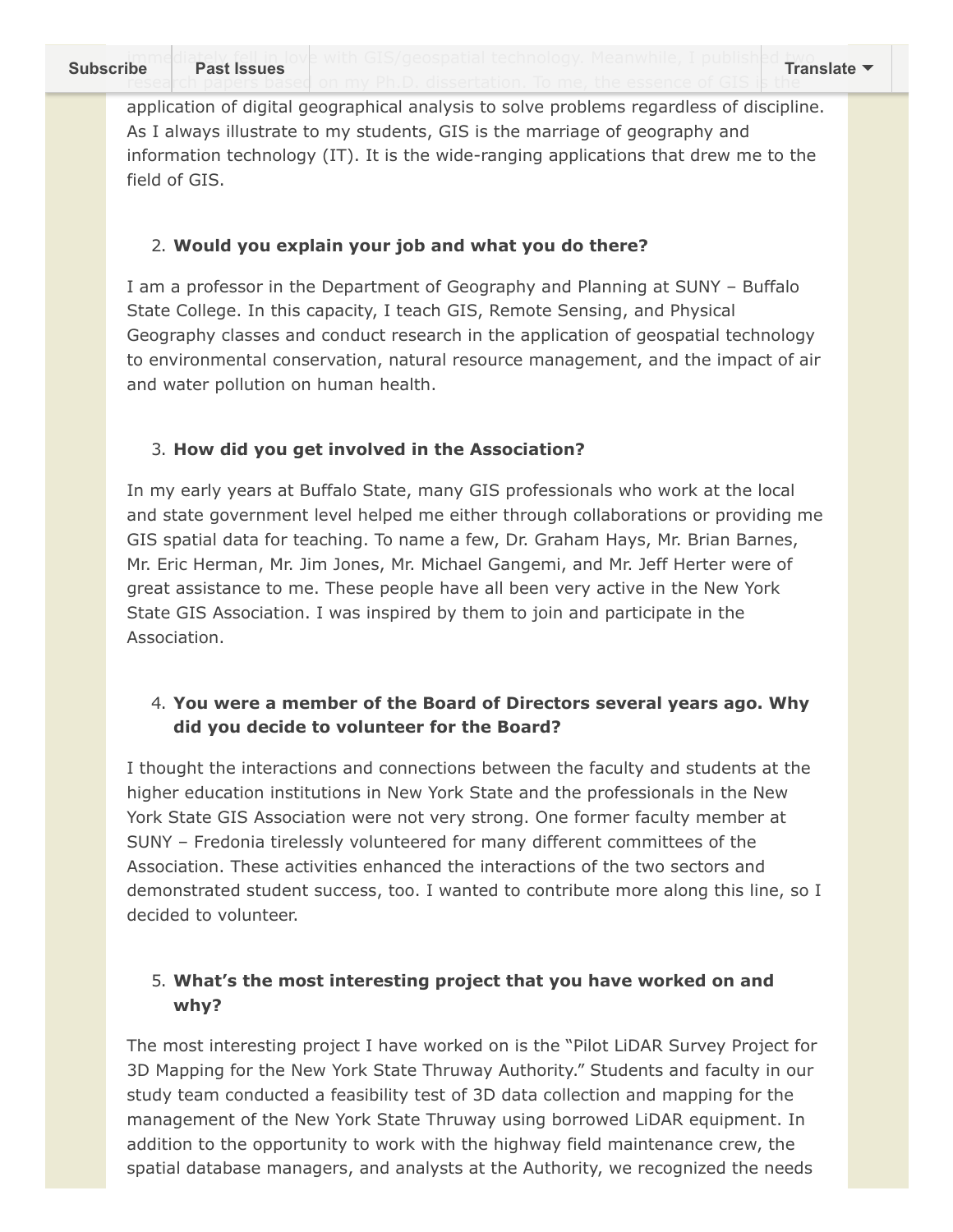application of digital geographical analysis to solve problems regardless of discipline. As I always illustrate to my students, GIS is the marriage of geography and information technology (IT). It is the wide-ranging applications that drew me to the field of GIS.

## 2. **Would you explain your job and what you do there?**

I am a professor in the Department of Geography and Planning at SUNY – Buffalo State College. In this capacity, I teach GIS, Remote Sensing, and Physical Geography classes and conduct research in the application of geospatial technology to environmental conservation, natural resource management, and the impact of air and water pollution on human health.

## 3. **How did you get involved in the Association?**

In my early years at Buffalo State, many GIS professionals who work at the local and state government level helped me either through collaborations or providing me GIS spatial data for teaching. To name a few, Dr. Graham Hays, Mr. Brian Barnes, Mr. Eric Herman, Mr. Jim Jones, Mr. Michael Gangemi, and Mr. Jeff Herter were of great assistance to me. These people have all been very active in the New York State GIS Association. I was inspired by them to join and participate in the Association.

## 4. **You were a member of the Board of Directors several years ago. Why did you decide to volunteer for the Board?**

I thought the interactions and connections between the faculty and students at the higher education institutions in New York State and the professionals in the New York State GIS Association were not very strong. One former faculty member at SUNY – Fredonia tirelessly volunteered for many different committees of the Association. These activities enhanced the interactions of the two sectors and demonstrated student success, too. I wanted to contribute more along this line, so I decided to volunteer.

## 5. **What's the most interesting project that you have worked on and why?**

The most interesting project I have worked on is the "Pilot LiDAR Survey Project for 3D Mapping for the New York State Thruway Authority." Students and faculty in our study team conducted a feasibility test of 3D data collection and mapping for the management of the New York State Thruway using borrowed LiDAR equipment. In addition to the opportunity to work with the highway field maintenance crew, the spatial database managers, and analysts at the Authority, we recognized the needs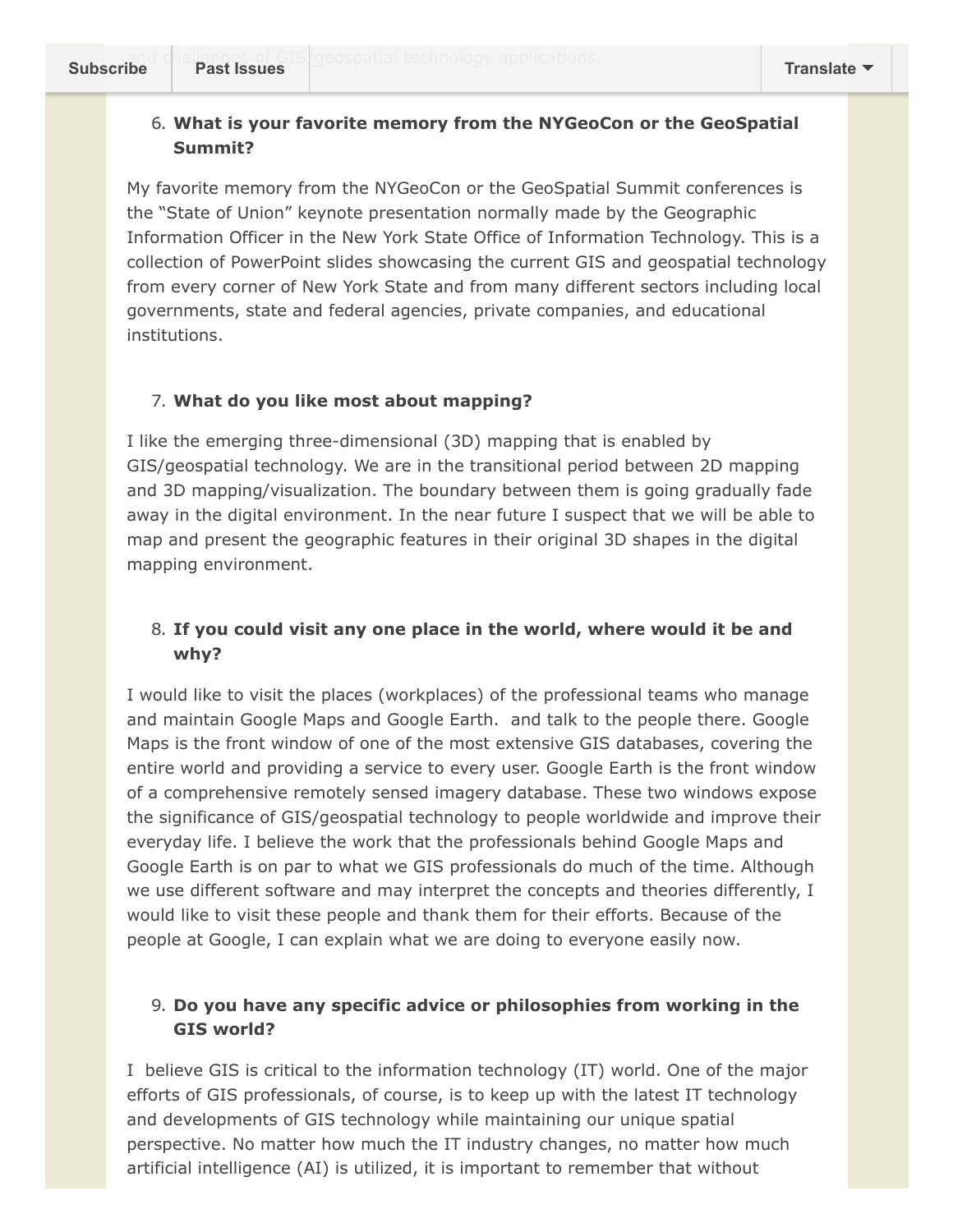#### 6. **What is your favorite memory from the NYGeoCon or the GeoSpatial Summit?**

My favorite memory from the NYGeoCon or the GeoSpatial Summit conferences is the "State of Union" keynote presentation normally made by the Geographic Information Officer in the New York State Office of Information Technology. This is a collection of PowerPoint slides showcasing the current GIS and geospatial technology from every corner of New York State and from many different sectors including local governments, state and federal agencies, private companies, and educational institutions.

#### 7. **What do you like most about mapping?**

I like the emerging three-dimensional (3D) mapping that is enabled by GIS/geospatial technology. We are in the transitional period between 2D mapping and 3D mapping/visualization. The boundary between them is going gradually fade away in the digital environment. In the near future I suspect that we will be able to map and present the geographic features in their original 3D shapes in the digital mapping environment.

### 8. **If you could visit any one place in the world, where would it be and why?**

I would like to visit the places (workplaces) of the professional teams who manage and maintain Google Maps and Google Earth. and talk to the people there. Google Maps is the front window of one of the most extensive GIS databases, covering the entire world and providing a service to every user. Google Earth is the front window of a comprehensive remotely sensed imagery database. These two windows expose the significance of GIS/geospatial technology to people worldwide and improve their everyday life. I believe the work that the professionals behind Google Maps and Google Earth is on par to what we GIS professionals do much of the time. Although we use different software and may interpret the concepts and theories differently, I would like to visit these people and thank them for their efforts. Because of the people at Google, I can explain what we are doing to everyone easily now.

### 9. **Do you have any specific advice or philosophies from working in the GIS world?**

I believe GIS is critical to the information technology (IT) world. One of the major efforts of GIS professionals, of course, is to keep up with the latest IT technology and developments of GIS technology while maintaining our unique spatial perspective. No matter how much the IT industry changes, no matter how much artificial intelligence (AI) is utilized, it is important to remember that without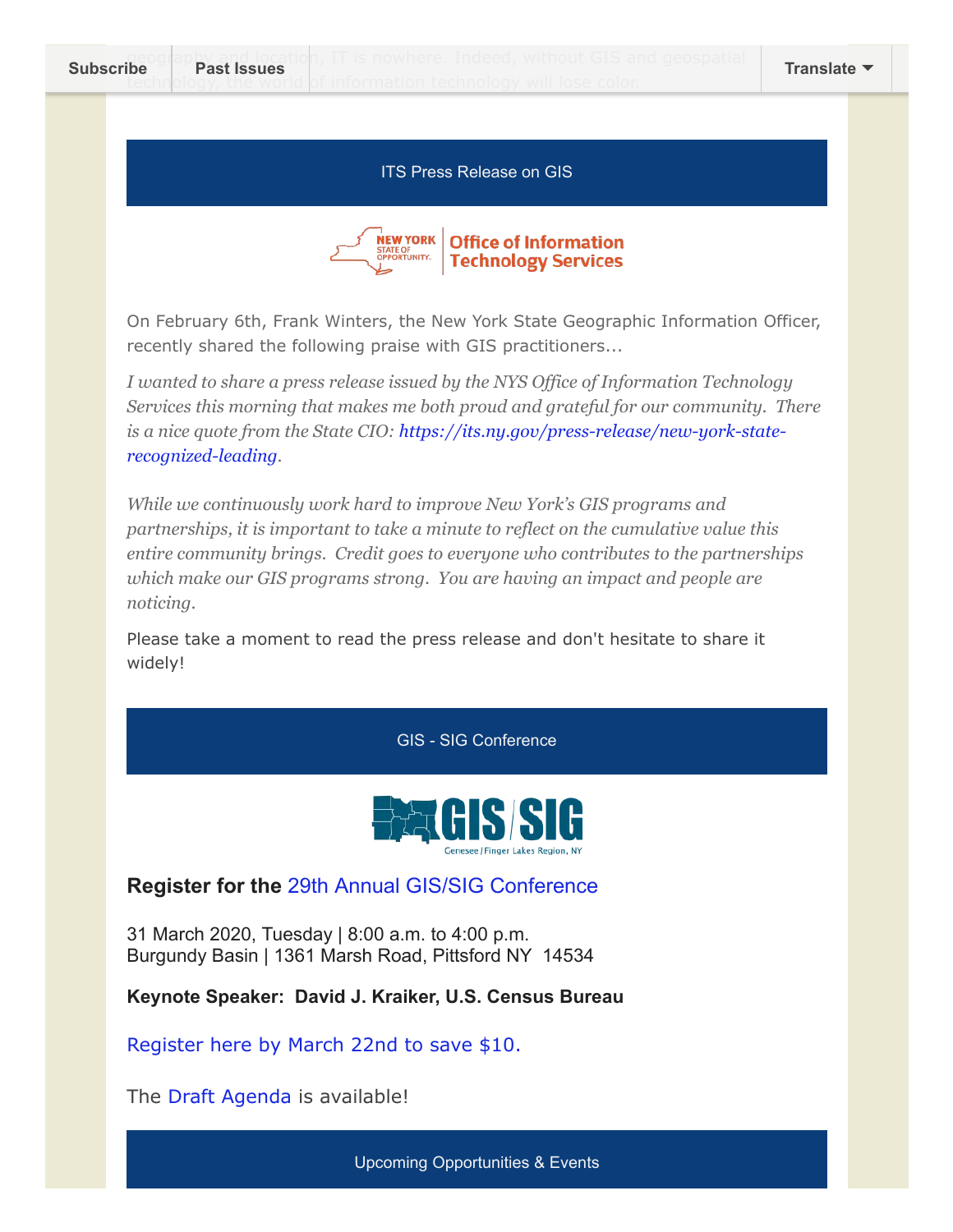#### ITS Press Release on GIS



On February 6th, Frank Winters, the New York State Geographic Information Officer, recently shared the following praise with GIS practitioners...

*I wanted to share a press release issued by the NYS Office of Information Technology Services this morning that makes me both proud and grateful for our community. There [is a nice quote from the State CIO: https://its.ny.gov/press-release/new-york-state](https://its.ny.gov/press-release/new-york-state-recognized-leading)recognized-leading.*

*While we continuously work hard to improve New York's GIS programs and partnerships, it is important to take a minute to reflect on the cumulative value this entire community brings. Credit goes to everyone who contributes to the partnerships which make our GIS programs strong. You are having an impact and people are noticing.*

Please take a moment to read the press release and don't hesitate to share it widely!

GIS - SIG Conference



**Register for the** [29th Annual GIS/SIG Conference](http://gis-sig.org/2020-conference/)

31 March 2020, Tuesday | 8:00 a.m. to 4:00 p.m. Burgundy Basin | 1361 Marsh Road, Pittsford NY 14534

**Keynote Speaker: David J. Kraiker, U.S. Census Bureau**

[Register here by March 22nd to save \\$10.](https://events.r20.constantcontact.com/register/eventReg?oeidk=a07egujeafv96d6e665&oseq=&c=&ch=)

The [Draft Agenda](https://drive.google.com/file/d/1LdG76pbpnnh0NoN_MQYOjBNOw8NKD8YI/view) is available!

Upcoming Opportunities & Events